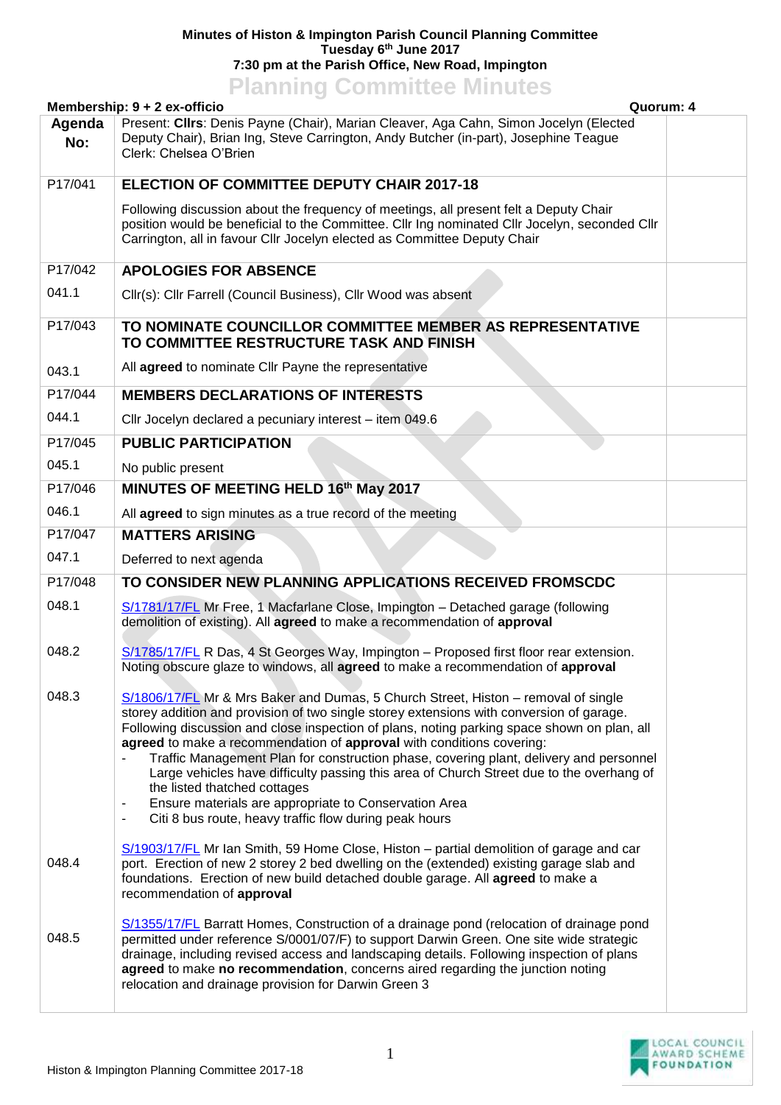## **Minutes of Histon & Impington Parish Council Planning Committee Tuesday 6 th June 2017 7:30 pm at the Parish Office, New Road, Impington**

## **Planning Committee Minutes**

|               | Membership: 9 + 2 ex-officio<br>Quorum: 4                                                                                                                                                                                                                                                                                                                                                                                                                                                                                                                                                                                                                                                       |  |  |  |
|---------------|-------------------------------------------------------------------------------------------------------------------------------------------------------------------------------------------------------------------------------------------------------------------------------------------------------------------------------------------------------------------------------------------------------------------------------------------------------------------------------------------------------------------------------------------------------------------------------------------------------------------------------------------------------------------------------------------------|--|--|--|
| Agenda<br>No: | Present: Cllrs: Denis Payne (Chair), Marian Cleaver, Aga Cahn, Simon Jocelyn (Elected<br>Deputy Chair), Brian Ing, Steve Carrington, Andy Butcher (in-part), Josephine Teague<br>Clerk: Chelsea O'Brien                                                                                                                                                                                                                                                                                                                                                                                                                                                                                         |  |  |  |
| P17/041       | ELECTION OF COMMITTEE DEPUTY CHAIR 2017-18                                                                                                                                                                                                                                                                                                                                                                                                                                                                                                                                                                                                                                                      |  |  |  |
|               | Following discussion about the frequency of meetings, all present felt a Deputy Chair<br>position would be beneficial to the Committee. Cllr Ing nominated Cllr Jocelyn, seconded Cllr<br>Carrington, all in favour Cllr Jocelyn elected as Committee Deputy Chair                                                                                                                                                                                                                                                                                                                                                                                                                              |  |  |  |
| P17/042       | <b>APOLOGIES FOR ABSENCE</b>                                                                                                                                                                                                                                                                                                                                                                                                                                                                                                                                                                                                                                                                    |  |  |  |
| 041.1         | Cllr(s): Cllr Farrell (Council Business), Cllr Wood was absent                                                                                                                                                                                                                                                                                                                                                                                                                                                                                                                                                                                                                                  |  |  |  |
| P17/043       | TO NOMINATE COUNCILLOR COMMITTEE MEMBER AS REPRESENTATIVE<br>TO COMMITTEE RESTRUCTURE TASK AND FINISH                                                                                                                                                                                                                                                                                                                                                                                                                                                                                                                                                                                           |  |  |  |
| 043.1         | All agreed to nominate Cllr Payne the representative                                                                                                                                                                                                                                                                                                                                                                                                                                                                                                                                                                                                                                            |  |  |  |
| P17/044       | <b>MEMBERS DECLARATIONS OF INTERESTS</b>                                                                                                                                                                                                                                                                                                                                                                                                                                                                                                                                                                                                                                                        |  |  |  |
| 044.1         | Cllr Jocelyn declared a pecuniary interest - item 049.6                                                                                                                                                                                                                                                                                                                                                                                                                                                                                                                                                                                                                                         |  |  |  |
| P17/045       | <b>PUBLIC PARTICIPATION</b>                                                                                                                                                                                                                                                                                                                                                                                                                                                                                                                                                                                                                                                                     |  |  |  |
| 045.1         | No public present                                                                                                                                                                                                                                                                                                                                                                                                                                                                                                                                                                                                                                                                               |  |  |  |
| P17/046       | MINUTES OF MEETING HELD 16th May 2017                                                                                                                                                                                                                                                                                                                                                                                                                                                                                                                                                                                                                                                           |  |  |  |
| 046.1         | All agreed to sign minutes as a true record of the meeting                                                                                                                                                                                                                                                                                                                                                                                                                                                                                                                                                                                                                                      |  |  |  |
| P17/047       | <b>MATTERS ARISING</b>                                                                                                                                                                                                                                                                                                                                                                                                                                                                                                                                                                                                                                                                          |  |  |  |
| 047.1         | Deferred to next agenda                                                                                                                                                                                                                                                                                                                                                                                                                                                                                                                                                                                                                                                                         |  |  |  |
| P17/048       | TO CONSIDER NEW PLANNING APPLICATIONS RECEIVED FROMSCDC                                                                                                                                                                                                                                                                                                                                                                                                                                                                                                                                                                                                                                         |  |  |  |
| 048.1         | S/1781/17/FL Mr Free, 1 Macfarlane Close, Impington - Detached garage (following<br>demolition of existing). All agreed to make a recommendation of approval                                                                                                                                                                                                                                                                                                                                                                                                                                                                                                                                    |  |  |  |
| 048.2         | S/1785/17/FL R Das, 4 St Georges Way, Impington - Proposed first floor rear extension.<br>Noting obscure glaze to windows, all agreed to make a recommendation of approval                                                                                                                                                                                                                                                                                                                                                                                                                                                                                                                      |  |  |  |
| 048.3         | S/1806/17/FL Mr & Mrs Baker and Dumas, 5 Church Street, Histon - removal of single<br>storey addition and provision of two single storey extensions with conversion of garage.<br>Following discussion and close inspection of plans, noting parking space shown on plan, all<br>agreed to make a recommendation of approval with conditions covering:<br>Traffic Management Plan for construction phase, covering plant, delivery and personnel<br>Large vehicles have difficulty passing this area of Church Street due to the overhang of<br>the listed thatched cottages<br>Ensure materials are appropriate to Conservation Area<br>Citi 8 bus route, heavy traffic flow during peak hours |  |  |  |
| 048.4         | S/1903/17/FL Mr Ian Smith, 59 Home Close, Histon – partial demolition of garage and car<br>port. Erection of new 2 storey 2 bed dwelling on the (extended) existing garage slab and<br>foundations. Erection of new build detached double garage. All agreed to make a<br>recommendation of approval                                                                                                                                                                                                                                                                                                                                                                                            |  |  |  |
| 048.5         | S/1355/17/FL Barratt Homes, Construction of a drainage pond (relocation of drainage pond<br>permitted under reference S/0001/07/F) to support Darwin Green. One site wide strategic<br>drainage, including revised access and landscaping details. Following inspection of plans<br>agreed to make no recommendation, concerns aired regarding the junction noting<br>relocation and drainage provision for Darwin Green 3                                                                                                                                                                                                                                                                      |  |  |  |